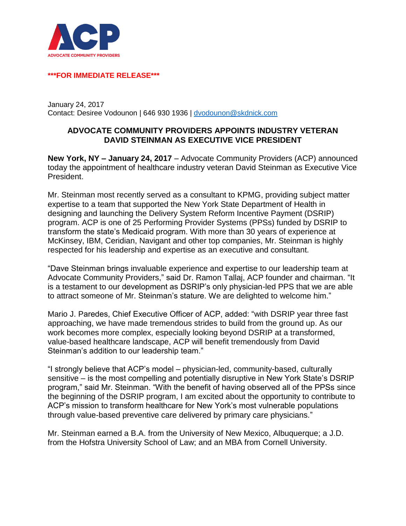

## **\*\*\*FOR IMMEDIATE RELEASE\*\*\***

January 24, 2017 Contact: Desiree Vodounon | 646 930 1936 | [dvodounon@skdnick.com](mailto:mgaspin@skdknick.com)

## **ADVOCATE COMMUNITY PROVIDERS APPOINTS INDUSTRY VETERAN DAVID STEINMAN AS EXECUTIVE VICE PRESIDENT**

**New York, NY – January 24, 2017** – Advocate Community Providers (ACP) announced today the appointment of healthcare industry veteran David Steinman as Executive Vice President.

Mr. Steinman most recently served as a consultant to KPMG, providing subject matter expertise to a team that supported the New York State Department of Health in designing and launching the Delivery System Reform Incentive Payment (DSRIP) program. ACP is one of 25 Performing Provider Systems (PPSs) funded by DSRIP to transform the state's Medicaid program. With more than 30 years of experience at McKinsey, IBM, Ceridian, Navigant and other top companies, Mr. Steinman is highly respected for his leadership and expertise as an executive and consultant.

"Dave Steinman brings invaluable experience and expertise to our leadership team at Advocate Community Providers," said Dr. Ramon Tallaj, ACP founder and chairman. "It is a testament to our development as DSRIP's only physician-led PPS that we are able to attract someone of Mr. Steinman's stature. We are delighted to welcome him."

Mario J. Paredes, Chief Executive Officer of ACP, added: "with DSRIP year three fast approaching, we have made tremendous strides to build from the ground up. As our work becomes more complex, especially looking beyond DSRIP at a transformed, value-based healthcare landscape, ACP will benefit tremendously from David Steinman's addition to our leadership team."

"I strongly believe that ACP's model – physician-led, community-based, culturally sensitive – is the most compelling and potentially disruptive in New York State's DSRIP program," said Mr. Steinman. "With the benefit of having observed all of the PPSs since the beginning of the DSRIP program, I am excited about the opportunity to contribute to ACP's mission to transform healthcare for New York's most vulnerable populations through value-based preventive care delivered by primary care physicians."

Mr. Steinman earned a B.A. from the University of New Mexico, Albuquerque; a J.D. from the Hofstra University School of Law; and an MBA from Cornell University.